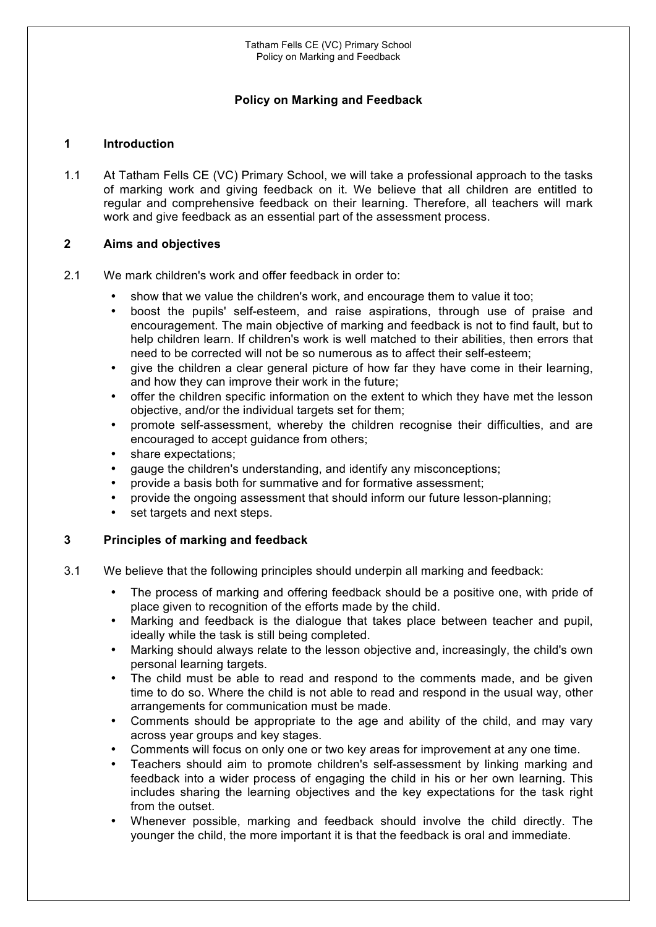# **Policy on Marking and Feedback**

#### **1 Introduction**

1.1 At Tatham Fells CE (VC) Primary School, we will take a professional approach to the tasks of marking work and giving feedback on it. We believe that all children are entitled to regular and comprehensive feedback on their learning. Therefore, all teachers will mark work and give feedback as an essential part of the assessment process.

## **2 Aims and objectives**

- 2.1 We mark children's work and offer feedback in order to:
	- show that we value the children's work, and encourage them to value it too;
	- boost the pupils' self-esteem, and raise aspirations, through use of praise and encouragement. The main objective of marking and feedback is not to find fault, but to help children learn. If children's work is well matched to their abilities, then errors that need to be corrected will not be so numerous as to affect their self-esteem;
	- give the children a clear general picture of how far they have come in their learning, and how they can improve their work in the future;
	- offer the children specific information on the extent to which they have met the lesson objective, and/or the individual targets set for them;
	- promote self-assessment, whereby the children recognise their difficulties, and are encouraged to accept guidance from others;
	- share expectations;
	- gauge the children's understanding, and identify any misconceptions;
	- provide a basis both for summative and for formative assessment;
	- provide the ongoing assessment that should inform our future lesson-planning;
	- set targets and next steps.

## **3 Principles of marking and feedback**

- 3.1 We believe that the following principles should underpin all marking and feedback:
	- The process of marking and offering feedback should be a positive one, with pride of place given to recognition of the efforts made by the child.
	- Marking and feedback is the dialogue that takes place between teacher and pupil, ideally while the task is still being completed.
	- Marking should always relate to the lesson objective and, increasingly, the child's own personal learning targets.
	- The child must be able to read and respond to the comments made, and be given time to do so. Where the child is not able to read and respond in the usual way, other arrangements for communication must be made.
	- Comments should be appropriate to the age and ability of the child, and may vary across year groups and key stages.
	- Comments will focus on only one or two key areas for improvement at any one time.
	- Teachers should aim to promote children's self-assessment by linking marking and feedback into a wider process of engaging the child in his or her own learning. This includes sharing the learning objectives and the key expectations for the task right from the outset.
	- Whenever possible, marking and feedback should involve the child directly. The younger the child, the more important it is that the feedback is oral and immediate.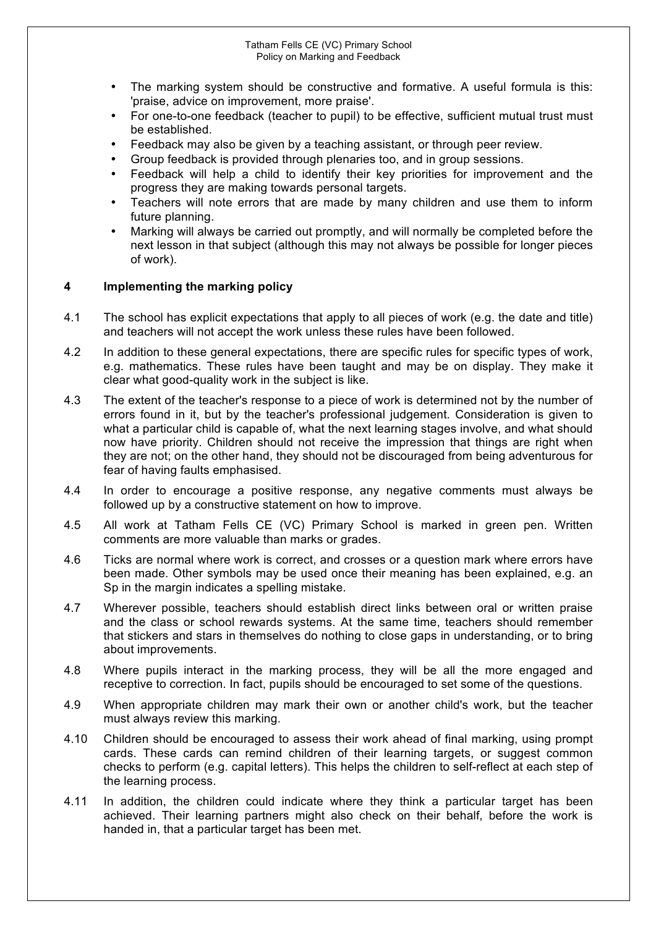- The marking system should be constructive and formative. A useful formula is this: 'praise, advice on improvement, more praise'.
- For one-to-one feedback (teacher to pupil) to be effective, sufficient mutual trust must be established.
- Feedback may also be given by a teaching assistant, or through peer review.
- Group feedback is provided through plenaries too, and in group sessions.
- Feedback will help a child to identify their key priorities for improvement and the progress they are making towards personal targets.
- Teachers will note errors that are made by many children and use them to inform future planning.
- Marking will always be carried out promptly, and will normally be completed before the next lesson in that subject (although this may not always be possible for longer pieces of work).

## **4 Implementing the marking policy**

- 4.1 The school has explicit expectations that apply to all pieces of work (e.g. the date and title) and teachers will not accept the work unless these rules have been followed.
- 4.2 In addition to these general expectations, there are specific rules for specific types of work, e.g. mathematics. These rules have been taught and may be on display. They make it clear what good-quality work in the subject is like.
- 4.3 The extent of the teacher's response to a piece of work is determined not by the number of errors found in it, but by the teacher's professional judgement. Consideration is given to what a particular child is capable of, what the next learning stages involve, and what should now have priority. Children should not receive the impression that things are right when they are not; on the other hand, they should not be discouraged from being adventurous for fear of having faults emphasised.
- 4.4 In order to encourage a positive response, any negative comments must always be followed up by a constructive statement on how to improve.
- 4.5 All work at Tatham Fells CE (VC) Primary School is marked in green pen. Written comments are more valuable than marks or grades.
- 4.6 Ticks are normal where work is correct, and crosses or a question mark where errors have been made. Other symbols may be used once their meaning has been explained, e.g. an Sp in the margin indicates a spelling mistake.
- 4.7 Wherever possible, teachers should establish direct links between oral or written praise and the class or school rewards systems. At the same time, teachers should remember that stickers and stars in themselves do nothing to close gaps in understanding, or to bring about improvements.
- 4.8 Where pupils interact in the marking process, they will be all the more engaged and receptive to correction. In fact, pupils should be encouraged to set some of the questions.
- 4.9 When appropriate children may mark their own or another child's work, but the teacher must always review this marking.
- 4.10 Children should be encouraged to assess their work ahead of final marking, using prompt cards. These cards can remind children of their learning targets, or suggest common checks to perform (e.g. capital letters). This helps the children to self-reflect at each step of the learning process.
- 4.11 In addition, the children could indicate where they think a particular target has been achieved. Their learning partners might also check on their behalf, before the work is handed in, that a particular target has been met.